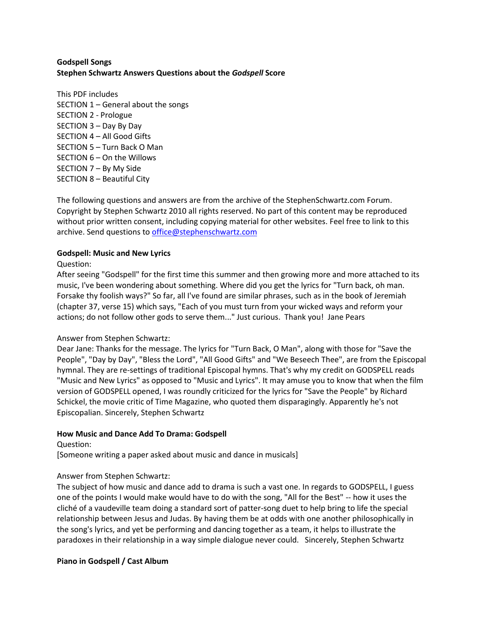## **Godspell Songs Stephen Schwartz Answers Questions about the** *Godspell* **Score**

This PDF includes SECTION 1 – General about the songs SECTION 2 - Prologue SECTION 3 – Day By Day SECTION 4 – All Good Gifts SECTION 5 – Turn Back O Man SECTION 6 – On the Willows SECTION 7 – By My Side SECTION 8 – Beautiful City

The following questions and answers are from the archive of the StephenSchwartz.com Forum. Copyright by Stephen Schwartz 2010 all rights reserved. No part of this content may be reproduced without prior written consent, including copying material for other websites. Feel free to link to this archive. Send questions to [office@stephenschwartz.com](mailto:office@stephenschwartz.com)

## **Godspell: Music and New Lyrics**

Question:

After seeing "Godspell" for the first time this summer and then growing more and more attached to its music, I've been wondering about something. Where did you get the lyrics for "Turn back, oh man. Forsake thy foolish ways?" So far, all I've found are similar phrases, such as in the book of Jeremiah (chapter 37, verse 15) which says, "Each of you must turn from your wicked ways and reform your actions; do not follow other gods to serve them..." Just curious. Thank you! Jane Pears

# Answer from Stephen Schwartz:

Dear Jane: Thanks for the message. The lyrics for "Turn Back, O Man", along with those for "Save the People", "Day by Day", "Bless the Lord", "All Good Gifts" and "We Beseech Thee", are from the Episcopal hymnal. They are re-settings of traditional Episcopal hymns. That's why my credit on GODSPELL reads "Music and New Lyrics" as opposed to "Music and Lyrics". It may amuse you to know that when the film version of GODSPELL opened, I was roundly criticized for the lyrics for "Save the People" by Richard Schickel, the movie critic of Time Magazine, who quoted them disparagingly. Apparently he's not Episcopalian. Sincerely, Stephen Schwartz

## **How Music and Dance Add To Drama: Godspell**

Question:

[Someone writing a paper asked about music and dance in musicals]

## Answer from Stephen Schwartz:

The subject of how music and dance add to drama is such a vast one. In regards to GODSPELL, I guess one of the points I would make would have to do with the song, "All for the Best" -- how it uses the cliché of a vaudeville team doing a standard sort of patter-song duet to help bring to life the special relationship between Jesus and Judas. By having them be at odds with one another philosophically in the song's lyrics, and yet be performing and dancing together as a team, it helps to illustrate the paradoxes in their relationship in a way simple dialogue never could. Sincerely, Stephen Schwartz

## **Piano in Godspell / Cast Album**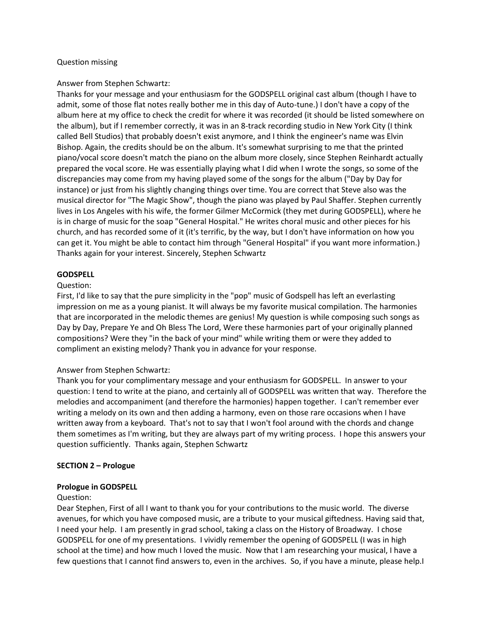### Question missing

### Answer from Stephen Schwartz:

Thanks for your message and your enthusiasm for the GODSPELL original cast album (though I have to admit, some of those flat notes really bother me in this day of Auto-tune.) I don't have a copy of the album here at my office to check the credit for where it was recorded (it should be listed somewhere on the album), but if I remember correctly, it was in an 8-track recording studio in New York City (I think called Bell Studios) that probably doesn't exist anymore, and I think the engineer's name was Elvin Bishop. Again, the credits should be on the album. It's somewhat surprising to me that the printed piano/vocal score doesn't match the piano on the album more closely, since Stephen Reinhardt actually prepared the vocal score. He was essentially playing what I did when I wrote the songs, so some of the discrepancies may come from my having played some of the songs for the album ("Day by Day for instance) or just from his slightly changing things over time. You are correct that Steve also was the musical director for "The Magic Show", though the piano was played by Paul Shaffer. Stephen currently lives in Los Angeles with his wife, the former Gilmer McCormick (they met during GODSPELL), where he is in charge of music for the soap "General Hospital." He writes choral music and other pieces for his church, and has recorded some of it (it's terrific, by the way, but I don't have information on how you can get it. You might be able to contact him through "General Hospital" if you want more information.) Thanks again for your interest. Sincerely, Stephen Schwartz

### **GODSPELL**

### Question:

First, I'd like to say that the pure simplicity in the "pop" music of Godspell has left an everlasting impression on me as a young pianist. It will always be my favorite musical compilation. The harmonies that are incorporated in the melodic themes are genius! My question is while composing such songs as Day by Day, Prepare Ye and Oh Bless The Lord, Were these harmonies part of your originally planned compositions? Were they "in the back of your mind" while writing them or were they added to compliment an existing melody? Thank you in advance for your response.

## Answer from Stephen Schwartz:

Thank you for your complimentary message and your enthusiasm for GODSPELL. In answer to your question: I tend to write at the piano, and certainly all of GODSPELL was written that way. Therefore the melodies and accompaniment (and therefore the harmonies) happen together. I can't remember ever writing a melody on its own and then adding a harmony, even on those rare occasions when I have written away from a keyboard. That's not to say that I won't fool around with the chords and change them sometimes as I'm writing, but they are always part of my writing process. I hope this answers your question sufficiently. Thanks again, Stephen Schwartz

#### **SECTION 2 – Prologue**

#### **Prologue in GODSPELL**

#### Question:

Dear Stephen, First of all I want to thank you for your contributions to the music world. The diverse avenues, for which you have composed music, are a tribute to your musical giftedness. Having said that, I need your help. I am presently in grad school, taking a class on the History of Broadway. I chose GODSPELL for one of my presentations. I vividly remember the opening of GODSPELL (I was in high school at the time) and how much I loved the music. Now that I am researching your musical, I have a few questions that I cannot find answers to, even in the archives. So, if you have a minute, please help.I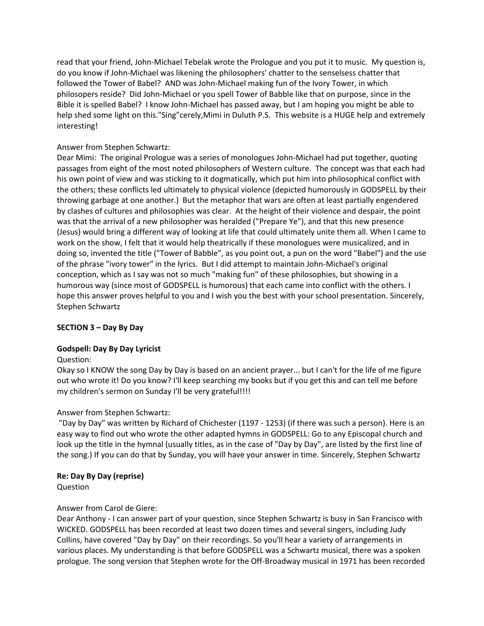read that your friend, John-Michael Tebelak wrote the Prologue and you put it to music. My question is, do you know if John-Michael was likening the philosophers' chatter to the senselsess chatter that followed the Tower of Babel? AND was John-Michael making fun of the Ivory Tower, in which philosopers reside? Did John-Michael or you spell Tower of Babble like that on purpose, since in the Bible it is spelled Babel? I know John-Michael has passed away, but I am hoping you might be able to help shed some light on this."Sing"cerely,Mimi in Duluth P.S. This website is a HUGE help and extremely interesting!

# Answer from Stephen Schwartz:

Dear Mimi: The original Prologue was a series of monologues John-Michael had put together, quoting passages from eight of the most noted philosophers of Western culture. The concept was that each had his own point of view and was sticking to it dogmatically, which put him into philosophical conflict with the others; these conflicts led ultimately to physical violence (depicted humorously in GODSPELL by their throwing garbage at one another.) But the metaphor that wars are often at least partially engendered by clashes of cultures and philosophies was clear. At the height of their violence and despair, the point was that the arrival of a new philosopher was heralded ("Prepare Ye"), and that this new presence (Jesus) would bring a different way of looking at life that could ultimately unite them all. When I came to work on the show, I felt that it would help theatrically if these monologues were musicalized, and in doing so, invented the title ("Tower of Babble", as you point out, a pun on the word "Babel") and the use of the phrase "ivory tower" in the lyrics. But I did attempt to maintain John-Michael's original conception, which as I say was not so much "making fun" of these philosophies, but showing in a humorous way (since most of GODSPELL is humorous) that each came into conflict with the others. I hope this answer proves helpful to you and I wish you the best with your school presentation. Sincerely, Stephen Schwartz

# **SECTION 3 – Day By Day**

## **Godspell: Day By Day Lyricist**

## Question:

Okay so I KNOW the song Day by Day is based on an ancient prayer... but I can't for the life of me figure out who wrote it! Do you know? I'll keep searching my books but if you get this and can tell me before my children's sermon on Sunday I'll be very grateful!!!!

## Answer from Stephen Schwartz:

"Day by Day" was written by Richard of Chichester (1197 - 1253) (if there was such a person). Here is an easy way to find out who wrote the other adapted hymns in GODSPELL: Go to any Episcopal church and look up the title in the hymnal (usually titles, as in the case of "Day by Day", are listed by the first line of the song.) If you can do that by Sunday, you will have your answer in time. Sincerely, Stephen Schwartz

## **Re: Day By Day (reprise)**

Question

## Answer from Carol de Giere:

Dear Anthony - I can answer part of your question, since Stephen Schwartz is busy in San Francisco with WICKED. GODSPELL has been recorded at least two dozen times and several singers, including Judy Collins, have covered "Day by Day" on their recordings. So you'll hear a variety of arrangements in various places. My understanding is that before GODSPELL was a Schwartz musical, there was a spoken prologue. The song version that Stephen wrote for the Off-Broadway musical in 1971 has been recorded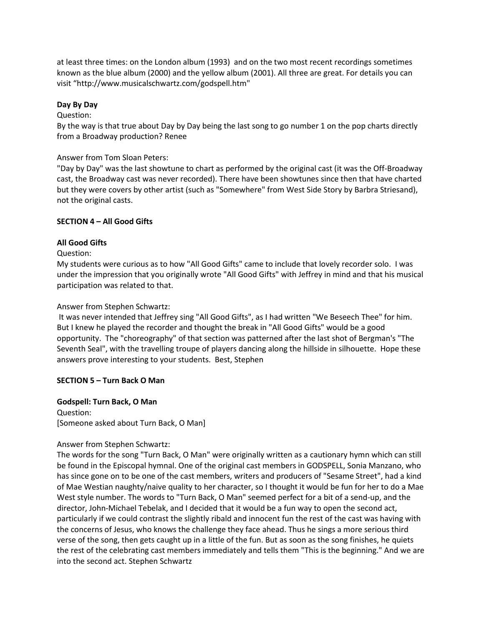at least three times: on the London album (1993) and on the two most recent recordings sometimes known as the blue album (2000) and the yellow album (2001). All three are great. For details you can visit "http://www.musicalschwartz.com/godspell.htm"

### **Day By Day**

#### Question:

By the way is that true about Day by Day being the last song to go number 1 on the pop charts directly from a Broadway production? Renee

### Answer from Tom Sloan Peters:

"Day by Day" was the last showtune to chart as performed by the original cast (it was the Off-Broadway cast, the Broadway cast was never recorded). There have been showtunes since then that have charted but they were covers by other artist (such as "Somewhere" from West Side Story by Barbra Striesand), not the original casts.

### **SECTION 4 – All Good Gifts**

### **All Good Gifts**

### Question:

My students were curious as to how "All Good Gifts" came to include that lovely recorder solo. I was under the impression that you originally wrote "All Good Gifts" with Jeffrey in mind and that his musical participation was related to that.

### Answer from Stephen Schwartz:

It was never intended that Jeffrey sing "All Good Gifts", as I had written "We Beseech Thee" for him. But I knew he played the recorder and thought the break in "All Good Gifts" would be a good opportunity. The "choreography" of that section was patterned after the last shot of Bergman's "The Seventh Seal", with the travelling troupe of players dancing along the hillside in silhouette. Hope these answers prove interesting to your students. Best, Stephen

## **SECTION 5 – Turn Back O Man**

# **Godspell: Turn Back, O Man**

Question: [Someone asked about Turn Back, O Man]

## Answer from Stephen Schwartz:

The words for the song "Turn Back, O Man" were originally written as a cautionary hymn which can still be found in the Episcopal hymnal. One of the original cast members in GODSPELL, Sonia Manzano, who has since gone on to be one of the cast members, writers and producers of "Sesame Street", had a kind of Mae Westian naughty/naive quality to her character, so I thought it would be fun for her to do a Mae West style number. The words to "Turn Back, O Man" seemed perfect for a bit of a send-up, and the director, John-Michael Tebelak, and I decided that it would be a fun way to open the second act, particularly if we could contrast the slightly ribald and innocent fun the rest of the cast was having with the concerns of Jesus, who knows the challenge they face ahead. Thus he sings a more serious third verse of the song, then gets caught up in a little of the fun. But as soon as the song finishes, he quiets the rest of the celebrating cast members immediately and tells them "This is the beginning." And we are into the second act. Stephen Schwartz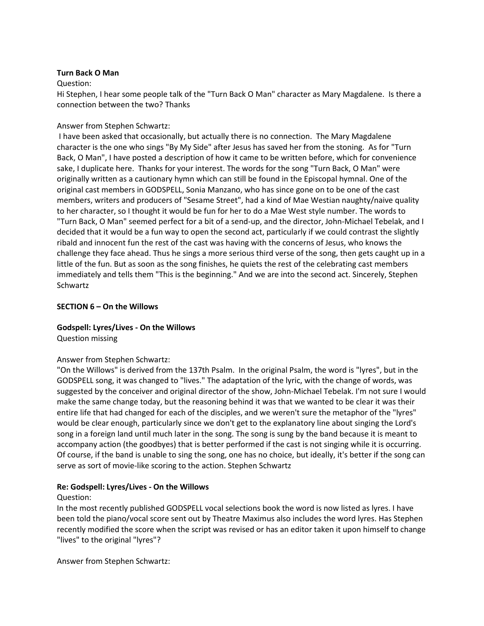### **Turn Back O Man**

### Question:

Hi Stephen, I hear some people talk of the "Turn Back O Man" character as Mary Magdalene. Is there a connection between the two? Thanks

### Answer from Stephen Schwartz:

I have been asked that occasionally, but actually there is no connection. The Mary Magdalene character is the one who sings "By My Side" after Jesus has saved her from the stoning. As for "Turn Back, O Man", I have posted a description of how it came to be written before, which for convenience sake, I duplicate here. Thanks for your interest. The words for the song "Turn Back, O Man" were originally written as a cautionary hymn which can still be found in the Episcopal hymnal. One of the original cast members in GODSPELL, Sonia Manzano, who has since gone on to be one of the cast members, writers and producers of "Sesame Street", had a kind of Mae Westian naughty/naive quality to her character, so I thought it would be fun for her to do a Mae West style number. The words to "Turn Back, O Man" seemed perfect for a bit of a send-up, and the director, John-Michael Tebelak, and I decided that it would be a fun way to open the second act, particularly if we could contrast the slightly ribald and innocent fun the rest of the cast was having with the concerns of Jesus, who knows the challenge they face ahead. Thus he sings a more serious third verse of the song, then gets caught up in a little of the fun. But as soon as the song finishes, he quiets the rest of the celebrating cast members immediately and tells them "This is the beginning." And we are into the second act. Sincerely, Stephen **Schwartz** 

### **SECTION 6 – On the Willows**

# **Godspell: Lyres/Lives - On the Willows**

Question missing

## Answer from Stephen Schwartz:

"On the Willows" is derived from the 137th Psalm. In the original Psalm, the word is "lyres", but in the GODSPELL song, it was changed to "lives." The adaptation of the lyric, with the change of words, was suggested by the conceiver and original director of the show, John-Michael Tebelak. I'm not sure I would make the same change today, but the reasoning behind it was that we wanted to be clear it was their entire life that had changed for each of the disciples, and we weren't sure the metaphor of the "lyres" would be clear enough, particularly since we don't get to the explanatory line about singing the Lord's song in a foreign land until much later in the song. The song is sung by the band because it is meant to accompany action (the goodbyes) that is better performed if the cast is not singing while it is occurring. Of course, if the band is unable to sing the song, one has no choice, but ideally, it's better if the song can serve as sort of movie-like scoring to the action. Stephen Schwartz

## **Re: Godspell: Lyres/Lives - On the Willows**

#### Question:

In the most recently published GODSPELL vocal selections book the word is now listed as lyres. I have been told the piano/vocal score sent out by Theatre Maximus also includes the word lyres. Has Stephen recently modified the score when the script was revised or has an editor taken it upon himself to change "lives" to the original "lyres"?

Answer from Stephen Schwartz: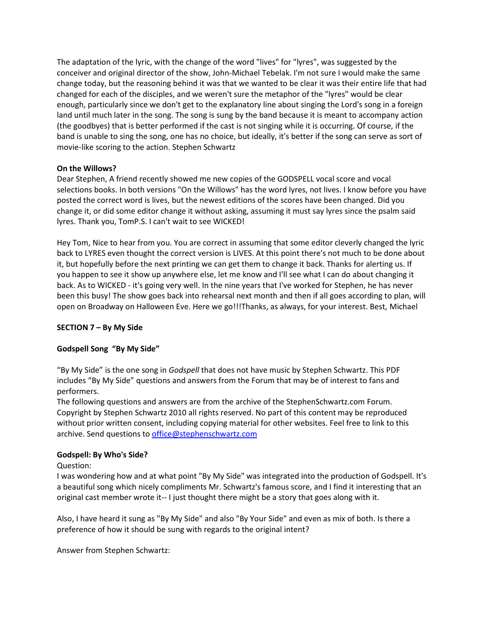The adaptation of the lyric, with the change of the word "lives" for "lyres", was suggested by the conceiver and original director of the show, John-Michael Tebelak. I'm not sure I would make the same change today, but the reasoning behind it was that we wanted to be clear it was their entire life that had changed for each of the disciples, and we weren't sure the metaphor of the "lyres" would be clear enough, particularly since we don't get to the explanatory line about singing the Lord's song in a foreign land until much later in the song. The song is sung by the band because it is meant to accompany action (the goodbyes) that is better performed if the cast is not singing while it is occurring. Of course, if the band is unable to sing the song, one has no choice, but ideally, it's better if the song can serve as sort of movie-like scoring to the action. Stephen Schwartz

## **On the Willows?**

Dear Stephen, A friend recently showed me new copies of the GODSPELL vocal score and vocal selections books. In both versions "On the Willows" has the word lyres, not lives. I know before you have posted the correct word is lives, but the newest editions of the scores have been changed. Did you change it, or did some editor change it without asking, assuming it must say lyres since the psalm said lyres. Thank you, TomP.S. I can't wait to see WICKED!

Hey Tom, Nice to hear from you. You are correct in assuming that some editor cleverly changed the lyric back to LYRES even thought the correct version is LIVES. At this point there's not much to be done about it, but hopefully before the next printing we can get them to change it back. Thanks for alerting us. If you happen to see it show up anywhere else, let me know and I'll see what I can do about changing it back. As to WICKED - it's going very well. In the nine years that I've worked for Stephen, he has never been this busy! The show goes back into rehearsal next month and then if all goes according to plan, will open on Broadway on Halloween Eve. Here we go!!!Thanks, as always, for your interest. Best, Michael

# **SECTION 7 – By My Side**

## **Godspell Song "By My Side"**

"By My Side" is the one song in *Godspell* that does not have music by Stephen Schwartz. This PDF includes "By My Side" questions and answers from the Forum that may be of interest to fans and performers.

The following questions and answers are from the archive of the StephenSchwartz.com Forum. Copyright by Stephen Schwartz 2010 all rights reserved. No part of this content may be reproduced without prior written consent, including copying material for other websites. Feel free to link to this archive. Send questions to [office@stephenschwartz.com](mailto:office@stephenschwartz.com)

## **Godspell: By Who's Side?**

Question:

I was wondering how and at what point "By My Side" was integrated into the production of Godspell. It's a beautiful song which nicely compliments Mr. Schwartz's famous score, and I find it interesting that an original cast member wrote it-- I just thought there might be a story that goes along with it.

Also, I have heard it sung as "By My Side" and also "By Your Side" and even as mix of both. Is there a preference of how it should be sung with regards to the original intent?

Answer from Stephen Schwartz: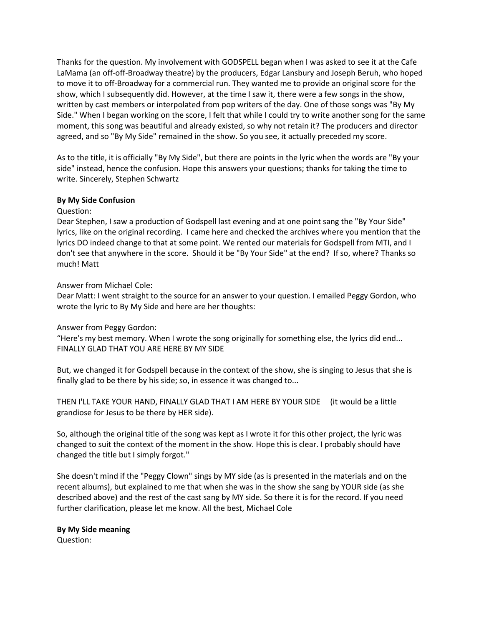Thanks for the question. My involvement with GODSPELL began when I was asked to see it at the Cafe LaMama (an off-off-Broadway theatre) by the producers, Edgar Lansbury and Joseph Beruh, who hoped to move it to off-Broadway for a commercial run. They wanted me to provide an original score for the show, which I subsequently did. However, at the time I saw it, there were a few songs in the show, written by cast members or interpolated from pop writers of the day. One of those songs was "By My Side." When I began working on the score, I felt that while I could try to write another song for the same moment, this song was beautiful and already existed, so why not retain it? The producers and director agreed, and so "By My Side" remained in the show. So you see, it actually preceded my score.

As to the title, it is officially "By My Side", but there are points in the lyric when the words are "By your side" instead, hence the confusion. Hope this answers your questions; thanks for taking the time to write. Sincerely, Stephen Schwartz

### **By My Side Confusion**

### Question:

Dear Stephen, I saw a production of Godspell last evening and at one point sang the "By Your Side" lyrics, like on the original recording. I came here and checked the archives where you mention that the lyrics DO indeed change to that at some point. We rented our materials for Godspell from MTI, and I don't see that anywhere in the score. Should it be "By Your Side" at the end? If so, where? Thanks so much! Matt

### Answer from Michael Cole:

Dear Matt: I went straight to the source for an answer to your question. I emailed Peggy Gordon, who wrote the lyric to By My Side and here are her thoughts:

## Answer from Peggy Gordon:

"Here's my best memory. When I wrote the song originally for something else, the lyrics did end... FINALLY GLAD THAT YOU ARE HERE BY MY SIDE

But, we changed it for Godspell because in the context of the show, she is singing to Jesus that she is finally glad to be there by his side; so, in essence it was changed to...

THEN I'LL TAKE YOUR HAND, FINALLY GLAD THAT I AM HERE BY YOUR SIDE (it would be a little grandiose for Jesus to be there by HER side).

So, although the original title of the song was kept as I wrote it for this other project, the lyric was changed to suit the context of the moment in the show. Hope this is clear. I probably should have changed the title but I simply forgot."

She doesn't mind if the "Peggy Clown" sings by MY side (as is presented in the materials and on the recent albums), but explained to me that when she was in the show she sang by YOUR side (as she described above) and the rest of the cast sang by MY side. So there it is for the record. If you need further clarification, please let me know. All the best, Michael Cole

## **By My Side meaning**

Question: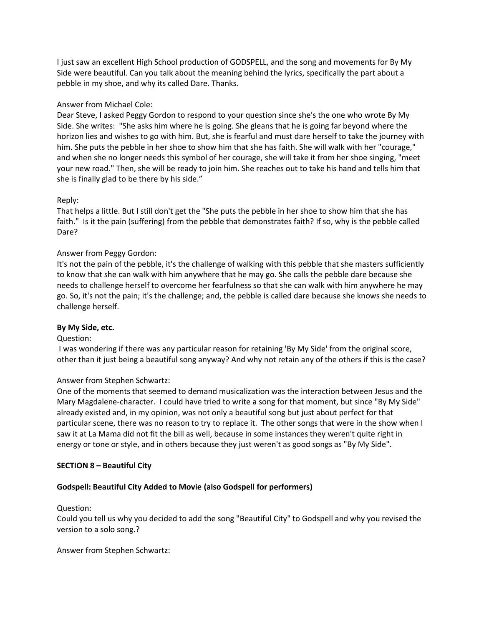I just saw an excellent High School production of GODSPELL, and the song and movements for By My Side were beautiful. Can you talk about the meaning behind the lyrics, specifically the part about a pebble in my shoe, and why its called Dare. Thanks.

## Answer from Michael Cole:

Dear Steve, I asked Peggy Gordon to respond to your question since she's the one who wrote By My Side. She writes: "She asks him where he is going. She gleans that he is going far beyond where the horizon lies and wishes to go with him. But, she is fearful and must dare herself to take the journey with him. She puts the pebble in her shoe to show him that she has faith. She will walk with her "courage," and when she no longer needs this symbol of her courage, she will take it from her shoe singing, "meet your new road." Then, she will be ready to join him. She reaches out to take his hand and tells him that she is finally glad to be there by his side."

## Reply:

That helps a little. But I still don't get the "She puts the pebble in her shoe to show him that she has faith." Is it the pain (suffering) from the pebble that demonstrates faith? If so, why is the pebble called Dare?

## Answer from Peggy Gordon:

It's not the pain of the pebble, it's the challenge of walking with this pebble that she masters sufficiently to know that she can walk with him anywhere that he may go. She calls the pebble dare because she needs to challenge herself to overcome her fearfulness so that she can walk with him anywhere he may go. So, it's not the pain; it's the challenge; and, the pebble is called dare because she knows she needs to challenge herself.

## **By My Side, etc.**

## Question:

I was wondering if there was any particular reason for retaining 'By My Side' from the original score, other than it just being a beautiful song anyway? And why not retain any of the others if this is the case?

## Answer from Stephen Schwartz:

One of the moments that seemed to demand musicalization was the interaction between Jesus and the Mary Magdalene-character. I could have tried to write a song for that moment, but since "By My Side" already existed and, in my opinion, was not only a beautiful song but just about perfect for that particular scene, there was no reason to try to replace it. The other songs that were in the show when I saw it at La Mama did not fit the bill as well, because in some instances they weren't quite right in energy or tone or style, and in others because they just weren't as good songs as "By My Side".

## **SECTION 8 – Beautiful City**

## **Godspell: Beautiful City Added to Movie (also Godspell for performers)**

## Question:

Could you tell us why you decided to add the song "Beautiful City" to Godspell and why you revised the version to a solo song.?

## Answer from Stephen Schwartz: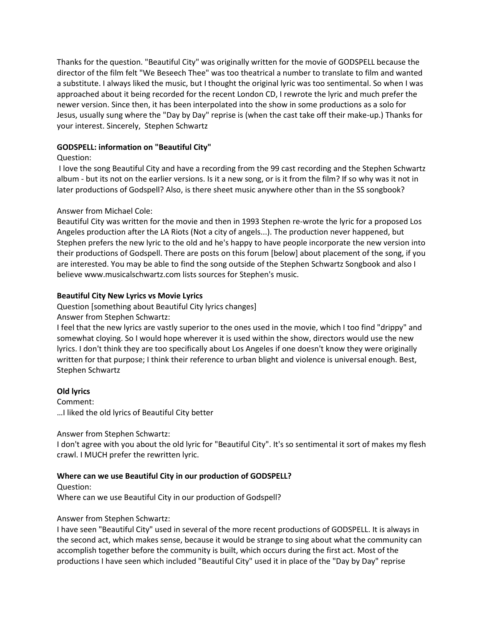Thanks for the question. "Beautiful City" was originally written for the movie of GODSPELL because the director of the film felt "We Beseech Thee" was too theatrical a number to translate to film and wanted a substitute. I always liked the music, but I thought the original lyric was too sentimental. So when I was approached about it being recorded for the recent London CD, I rewrote the lyric and much prefer the newer version. Since then, it has been interpolated into the show in some productions as a solo for Jesus, usually sung where the "Day by Day" reprise is (when the cast take off their make-up.) Thanks for your interest. Sincerely, Stephen Schwartz

# **GODSPELL: information on "Beautiful City"**

## Question:

I love the song Beautiful City and have a recording from the 99 cast recording and the Stephen Schwartz album - but its not on the earlier versions. Is it a new song, or is it from the film? If so why was it not in later productions of Godspell? Also, is there sheet music anywhere other than in the SS songbook?

## Answer from Michael Cole:

Beautiful City was written for the movie and then in 1993 Stephen re-wrote the lyric for a proposed Los Angeles production after the LA Riots (Not a city of angels...). The production never happened, but Stephen prefers the new lyric to the old and he's happy to have people incorporate the new version into their productions of Godspell. There are posts on this forum [below] about placement of the song, if you are interested. You may be able to find the song outside of the Stephen Schwartz Songbook and also I believe www.musicalschwartz.com lists sources for Stephen's music.

## **Beautiful City New Lyrics vs Movie Lyrics**

Question [something about Beautiful City lyrics changes] Answer from Stephen Schwartz:

I feel that the new lyrics are vastly superior to the ones used in the movie, which I too find "drippy" and somewhat cloying. So I would hope wherever it is used within the show, directors would use the new lyrics. I don't think they are too specifically about Los Angeles if one doesn't know they were originally written for that purpose; I think their reference to urban blight and violence is universal enough. Best, Stephen Schwartz

## **Old lyrics**

Comment: …I liked the old lyrics of Beautiful City better

## Answer from Stephen Schwartz:

I don't agree with you about the old lyric for "Beautiful City". It's so sentimental it sort of makes my flesh crawl. I MUCH prefer the rewritten lyric.

# **Where can we use Beautiful City in our production of GODSPELL?**

Question:

Where can we use Beautiful City in our production of Godspell?

## Answer from Stephen Schwartz:

I have seen "Beautiful City" used in several of the more recent productions of GODSPELL. It is always in the second act, which makes sense, because it would be strange to sing about what the community can accomplish together before the community is built, which occurs during the first act. Most of the productions I have seen which included "Beautiful City" used it in place of the "Day by Day" reprise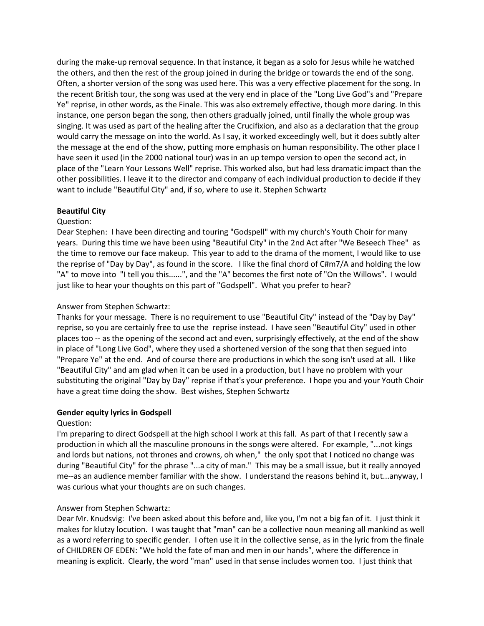during the make-up removal sequence. In that instance, it began as a solo for Jesus while he watched the others, and then the rest of the group joined in during the bridge or towards the end of the song. Often, a shorter version of the song was used here. This was a very effective placement for the song. In the recent British tour, the song was used at the very end in place of the "Long Live God"s and "Prepare Ye" reprise, in other words, as the Finale. This was also extremely effective, though more daring. In this instance, one person began the song, then others gradually joined, until finally the whole group was singing. It was used as part of the healing after the Crucifixion, and also as a declaration that the group would carry the message on into the world. As I say, it worked exceedingly well, but it does subtly alter the message at the end of the show, putting more emphasis on human responsibility. The other place I have seen it used (in the 2000 national tour) was in an up tempo version to open the second act, in place of the "Learn Your Lessons Well" reprise. This worked also, but had less dramatic impact than the other possibilities. I leave it to the director and company of each individual production to decide if they want to include "Beautiful City" and, if so, where to use it. Stephen Schwartz

## **Beautiful City**

#### Question:

Dear Stephen: I have been directing and touring "Godspell" with my church's Youth Choir for many years. During this time we have been using "Beautiful City" in the 2nd Act after "We Beseech Thee" as the time to remove our face makeup. This year to add to the drama of the moment, I would like to use the reprise of "Day by Day", as found in the score. I like the final chord of C#m7/A and holding the low "A" to move into "I tell you this......", and the "A" becomes the first note of "On the Willows". I would just like to hear your thoughts on this part of "Godspell". What you prefer to hear?

### Answer from Stephen Schwartz:

Thanks for your message. There is no requirement to use "Beautiful City" instead of the "Day by Day" reprise, so you are certainly free to use the reprise instead. I have seen "Beautiful City" used in other places too -- as the opening of the second act and even, surprisingly effectively, at the end of the show in place of "Long Live God", where they used a shortened version of the song that then segued into "Prepare Ye" at the end. And of course there are productions in which the song isn't used at all. I like "Beautiful City" and am glad when it can be used in a production, but I have no problem with your substituting the original "Day by Day" reprise if that's your preference. I hope you and your Youth Choir have a great time doing the show. Best wishes, Stephen Schwartz

#### **Gender equity lyrics in Godspell**

#### Question:

I'm preparing to direct Godspell at the high school I work at this fall. As part of that I recently saw a production in which all the masculine pronouns in the songs were altered. For example, "...not kings and lords but nations, not thrones and crowns, oh when," the only spot that I noticed no change was during "Beautiful City" for the phrase "...a city of man." This may be a small issue, but it really annoyed me--as an audience member familiar with the show. I understand the reasons behind it, but...anyway, I was curious what your thoughts are on such changes.

## Answer from Stephen Schwartz:

Dear Mr. Knudsvig: I've been asked about this before and, like you, I'm not a big fan of it. I just think it makes for klutzy locution. I was taught that "man" can be a collective noun meaning all mankind as well as a word referring to specific gender. I often use it in the collective sense, as in the lyric from the finale of CHILDREN OF EDEN: "We hold the fate of man and men in our hands", where the difference in meaning is explicit. Clearly, the word "man" used in that sense includes women too. I just think that